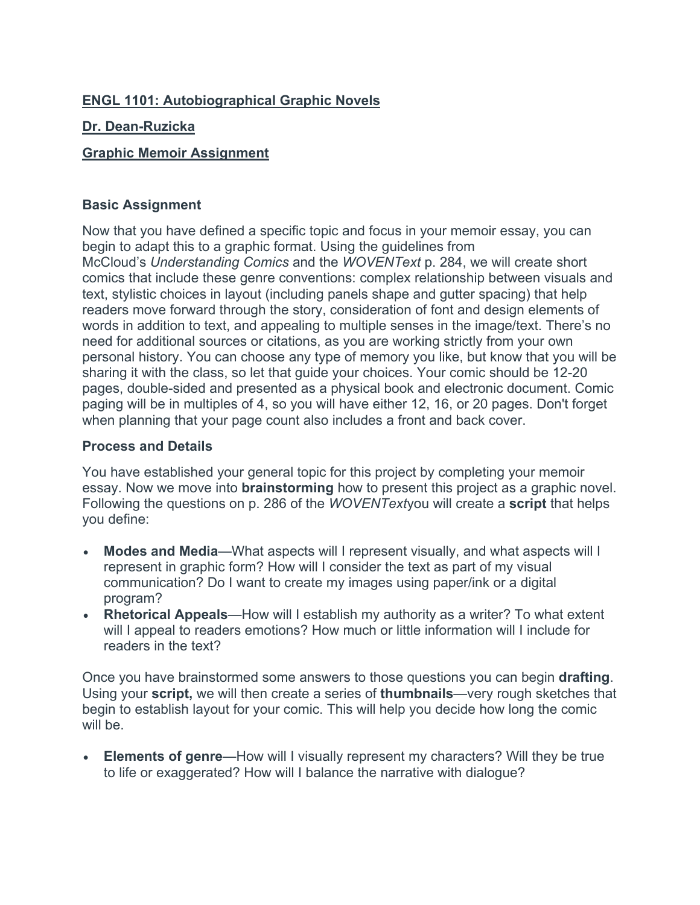## **ENGL 1101: Autobiographical Graphic Novels**

### **Dr. Dean-Ruzicka**

### **Graphic Memoir Assignment**

#### **Basic Assignment**

Now that you have defined a specific topic and focus in your memoir essay, you can begin to adapt this to a graphic format. Using the guidelines from McCloud's *Understanding Comics* and the *WOVENText* p. 284, we will create short comics that include these genre conventions: complex relationship between visuals and text, stylistic choices in layout (including panels shape and gutter spacing) that help readers move forward through the story, consideration of font and design elements of words in addition to text, and appealing to multiple senses in the image/text. There's no need for additional sources or citations, as you are working strictly from your own personal history. You can choose any type of memory you like, but know that you will be sharing it with the class, so let that guide your choices. Your comic should be 12-20 pages, double-sided and presented as a physical book and electronic document. Comic paging will be in multiples of 4, so you will have either 12, 16, or 20 pages. Don't forget when planning that your page count also includes a front and back cover.

#### **Process and Details**

You have established your general topic for this project by completing your memoir essay. Now we move into **brainstorming** how to present this project as a graphic novel. Following the questions on p. 286 of the *WOVENText*you will create a **script** that helps you define:

- **Modes and Media**—What aspects will I represent visually, and what aspects will I represent in graphic form? How will I consider the text as part of my visual communication? Do I want to create my images using paper/ink or a digital program?
- **Rhetorical Appeals**—How will I establish my authority as a writer? To what extent will I appeal to readers emotions? How much or little information will I include for readers in the text?

Once you have brainstormed some answers to those questions you can begin **drafting**. Using your **script,** we will then create a series of **thumbnails**—very rough sketches that begin to establish layout for your comic. This will help you decide how long the comic will be.

• **Elements of genre**—How will I visually represent my characters? Will they be true to life or exaggerated? How will I balance the narrative with dialogue?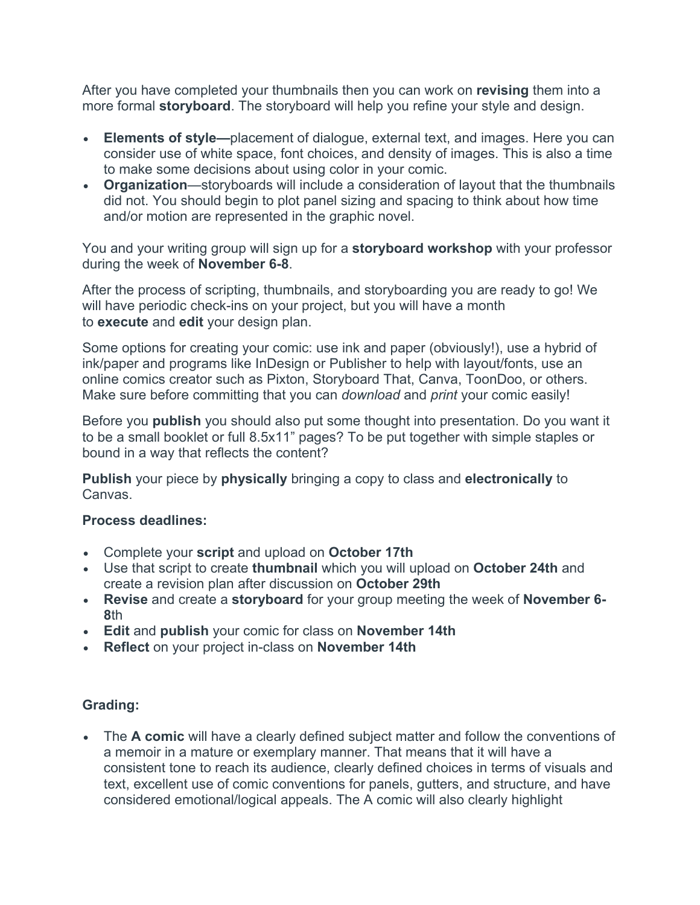After you have completed your thumbnails then you can work on **revising** them into a more formal **storyboard**. The storyboard will help you refine your style and design.

- **Elements of style—**placement of dialogue, external text, and images. Here you can consider use of white space, font choices, and density of images. This is also a time to make some decisions about using color in your comic.
- **Organization**—storyboards will include a consideration of layout that the thumbnails did not. You should begin to plot panel sizing and spacing to think about how time and/or motion are represented in the graphic novel.

You and your writing group will sign up for a **storyboard workshop** with your professor during the week of **November 6-8**.

After the process of scripting, thumbnails, and storyboarding you are ready to go! We will have periodic check-ins on your project, but you will have a month to **execute** and **edit** your design plan.

Some options for creating your comic: use ink and paper (obviously!), use a hybrid of ink/paper and programs like InDesign or Publisher to help with layout/fonts, use an online comics creator such as Pixton, Storyboard That, Canva, ToonDoo, or others. Make sure before committing that you can *download* and *print* your comic easily!

Before you **publish** you should also put some thought into presentation. Do you want it to be a small booklet or full 8.5x11" pages? To be put together with simple staples or bound in a way that reflects the content?

**Publish** your piece by **physically** bringing a copy to class and **electronically** to Canvas.

# **Process deadlines:**

- Complete your **script** and upload on **October 17th**
- Use that script to create **thumbnail** which you will upload on **October 24th** and create a revision plan after discussion on **October 29th**
- **Revise** and create a **storyboard** for your group meeting the week of **November 6- 8**th
- **Edit** and **publish** your comic for class on **November 14th**
- **Reflect** on your project in-class on **November 14th**

# **Grading:**

• The **A comic** will have a clearly defined subject matter and follow the conventions of a memoir in a mature or exemplary manner. That means that it will have a consistent tone to reach its audience, clearly defined choices in terms of visuals and text, excellent use of comic conventions for panels, gutters, and structure, and have considered emotional/logical appeals. The A comic will also clearly highlight